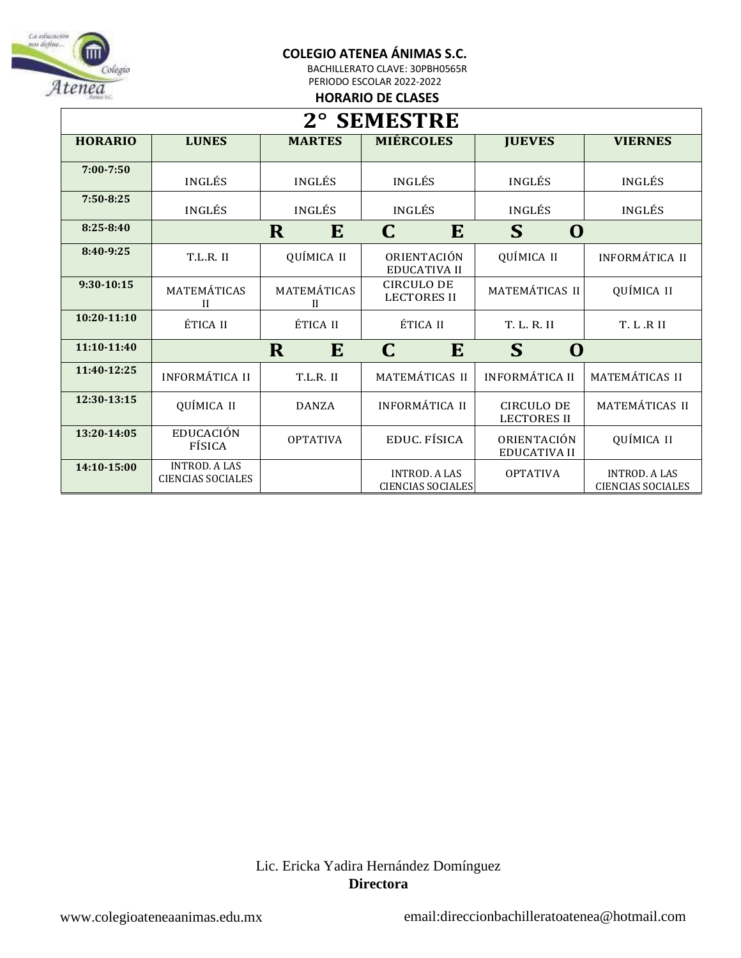

BACHILLERATO CLAVE: 30PBH0565R PERIODO ESCOLAR 2022-2022

#### **HORARIO DE CLASES**

| 2° SEMESTRE     |                                                  |                             |                                                  |                                         |                                                  |  |
|-----------------|--------------------------------------------------|-----------------------------|--------------------------------------------------|-----------------------------------------|--------------------------------------------------|--|
| <b>HORARIO</b>  | <b>LUNES</b>                                     | <b>MARTES</b>               | <b>MIÉRCOLES</b>                                 | <b>JUEVES</b>                           | <b>VIERNES</b>                                   |  |
| $7:00 - 7:50$   | <b>INGLÉS</b>                                    | INGLÉS                      | INGLÉS                                           | INGLÉS                                  | INGLÉS                                           |  |
| $7:50 - 8:25$   | INGLÉS                                           | <b>INGLÉS</b>               | <b>INGLÉS</b>                                    | <b>INGLÉS</b>                           | <b>INGLÉS</b>                                    |  |
| $8:25 - 8:40$   |                                                  | R<br>E                      | E<br>C                                           | S<br>$\bf{O}$                           |                                                  |  |
| 8:40-9:25       | T.L.R. II                                        | QUÍMICA II                  | ORIENTACIÓN<br><b>EDUCATIVA II</b>               | QUÍMICA II                              | <b>INFORMÁTICA II</b>                            |  |
| $9:30-10:15$    | MATEMÁTICAS<br>$\mathbf{I}$                      | MATEMÁTICAS<br>$\mathbf{I}$ | <b>CIRCULO DE</b><br><b>LECTORES II</b>          | MATEMÁTICAS II                          | QUÍMICA II                                       |  |
| $10:20 - 11:10$ | ÉTICA II                                         | ÉTICA II                    | ÉTICA II                                         | T. L. R. II                             | T. L.R II                                        |  |
| 11:10-11:40     |                                                  | E<br>R                      | C<br>E                                           | S<br>$\bf{O}$                           |                                                  |  |
| 11:40-12:25     | <b>INFORMÁTICA II</b>                            | T.L.R. II                   | MATEMÁTICAS II                                   | <b>INFORMÁTICA II</b>                   | MATEMÁTICAS II                                   |  |
| 12:30-13:15     | QUÍMICA II                                       | <b>DANZA</b>                | <b>INFORMÁTICA II</b>                            | <b>CIRCULO DE</b><br><b>LECTORES II</b> | MATEMÁTICAS II                                   |  |
| 13:20-14:05     | <b>EDUCACIÓN</b><br>FÍSICA                       | <b>OPTATIVA</b>             | EDUC. FÍSICA                                     | ORIENTACIÓN<br><b>EDUCATIVA II</b>      | QUÍMICA II                                       |  |
| 14:10-15:00     | <b>INTROD, A LAS</b><br><b>CIENCIAS SOCIALES</b> |                             | <b>INTROD, A LAS</b><br><b>CIENCIAS SOCIALES</b> | <b>OPTATIVA</b>                         | <b>INTROD, A LAS</b><br><b>CIENCIAS SOCIALES</b> |  |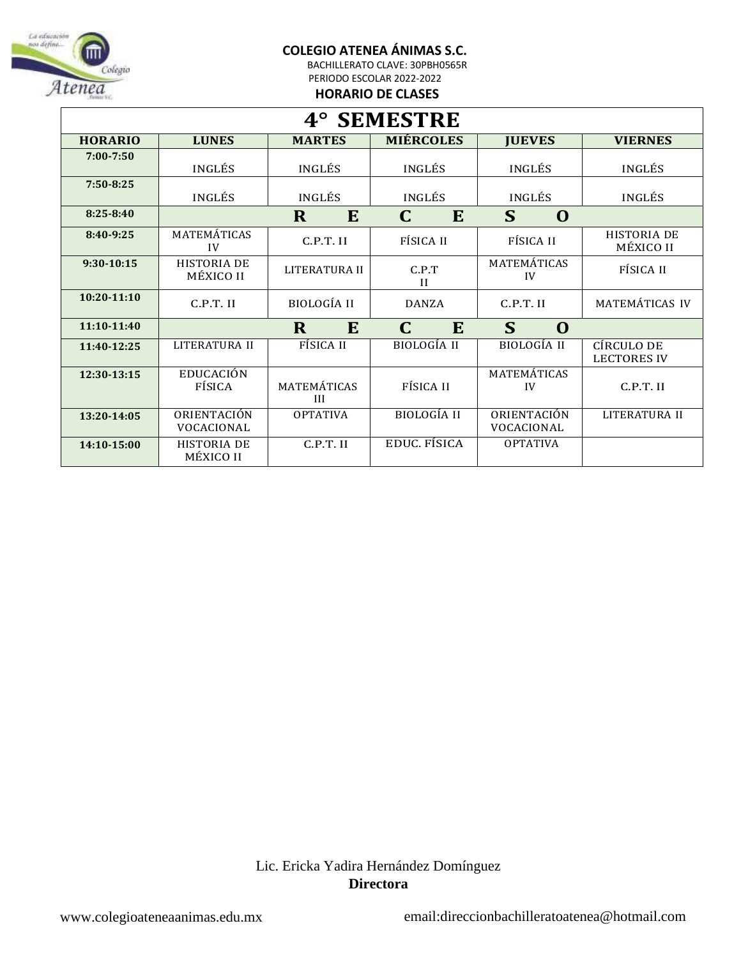

BACHILLERATO CLAVE: 30PBH0565R PERIODO ESCOLAR 2022-2022

**HORARIO DE CLASES**

| 4° SEMESTRE     |                                 |                    |                       |                           |                                  |  |
|-----------------|---------------------------------|--------------------|-----------------------|---------------------------|----------------------------------|--|
| <b>HORARIO</b>  | <b>LUNES</b>                    | <b>MARTES</b>      | <b>MIÉRCOLES</b>      | <b>JUEVES</b>             | <b>VIERNES</b>                   |  |
| $7:00 - 7:50$   | <b>INGLÉS</b>                   | <b>INGLÉS</b>      | <b>INGLÉS</b>         | <b>INGLÉS</b>             | <b>INGLÉS</b>                    |  |
| 7:50-8:25       | INGLÉS                          | <b>INGLÉS</b>      | <b>INGLÉS</b>         | <b>INGLÉS</b>             | INGLÉS                           |  |
| $8:25 - 8:40$   |                                 | $\mathbf R$<br>E   | C<br>E                | S<br>$\mathbf 0$          |                                  |  |
| 8:40-9:25       | MATEMÁTICAS<br>IV               | $C.P.T.$ II        | FÍSICA II             | FÍSICA II                 | <b>HISTORIA DE</b><br>MÉXICO II  |  |
| $9:30-10:15$    | <b>HISTORIA DE</b><br>MÉXICO II | LITERATURA II      | C.P.T<br>$\mathbf{H}$ | MATEMÁTICAS<br>IV         | FÍSICA II                        |  |
| $10:20 - 11:10$ | C.P.T. II                       | <b>BIOLOGÍA II</b> | <b>DANZA</b>          | C.P.T. II                 | MATEMÁTICAS IV                   |  |
| 11:10-11:40     |                                 | $\mathbf R$<br>E   | $\mathbf C$<br>E      | S<br>$\mathbf 0$          |                                  |  |
| 11:40-12:25     | LITERATURA II                   | FÍSICA II          | <b>BIOLOGÍA II</b>    | <b>BIOLOGÍA II</b>        | CÍRCULO DE<br><b>LECTORES IV</b> |  |
| 12:30-13:15     | EDUCACIÓN<br>FÍSICA             | MATEMÁTICAS<br>Ш   | FÍSICA II             | MATEMÁTICAS<br>IV         | C.P.T. II                        |  |
| 13:20-14:05     | ORIENTACIÓN<br>VOCACIONAL       | <b>OPTATIVA</b>    | <b>BIOLOGÍA II</b>    | ORIENTACIÓN<br>VOCACIONAL | LITERATURA II                    |  |
| 14:10-15:00     | <b>HISTORIA DE</b><br>MÉXICO II | C.P.T. II          | EDUC. FÍSICA          | <b>OPTATIVA</b>           |                                  |  |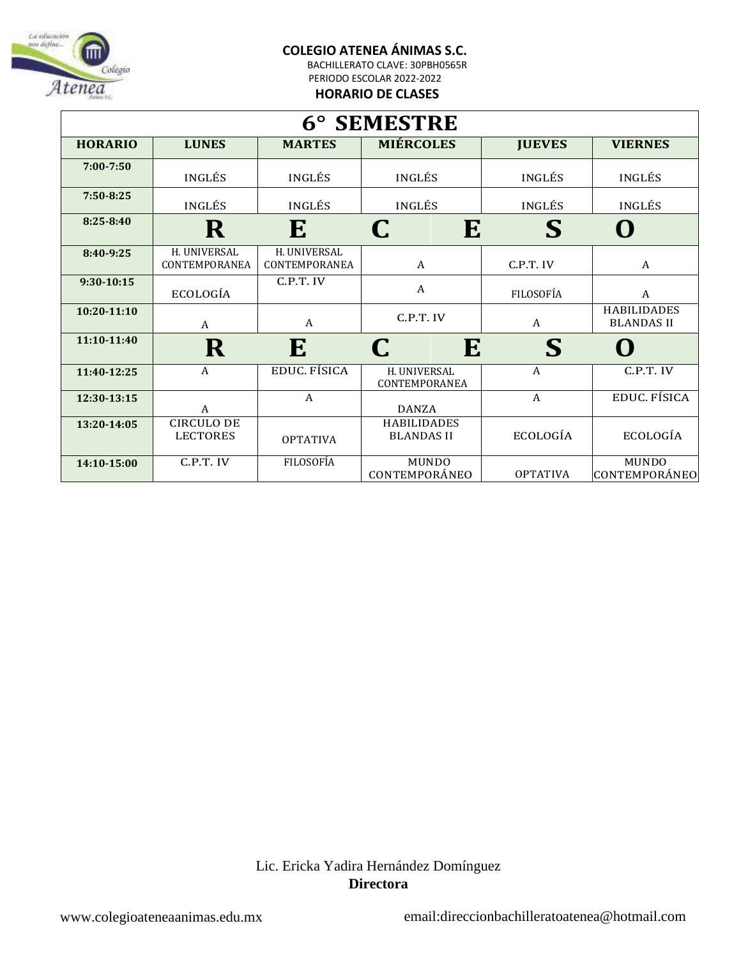BACHILLERATO CLAVE: 30PBH0565R PERIODO ESCOLAR 2022-2022

**HORARIO DE CLASES**

| 6° SEMESTRE    |                                                   |                               |                                         |                 |                                         |  |  |
|----------------|---------------------------------------------------|-------------------------------|-----------------------------------------|-----------------|-----------------------------------------|--|--|
| <b>HORARIO</b> | <b>MIÉRCOLES</b><br><b>LUNES</b><br><b>MARTES</b> |                               |                                         | <b>JUEVES</b>   | <b>VIERNES</b>                          |  |  |
| 7:00-7:50      | <b>INGLÉS</b>                                     | <b>INGLÉS</b>                 | <b>INGLÉS</b>                           | <b>INGLÉS</b>   | <b>INGLÉS</b>                           |  |  |
| $7:50 - 8:25$  | <b>INGLÉS</b>                                     | INGLÉS                        | <b>INGLÉS</b>                           | <b>INGLÉS</b>   | <b>INGLÉS</b>                           |  |  |
| $8:25 - 8:40$  | ${\bf R}$                                         | E                             | E<br>C                                  | $\mathbf S$     | O                                       |  |  |
| 8:40-9:25      | H. UNIVERSAL<br>CONTEMPORANEA                     | H. UNIVERSAL<br>CONTEMPORANEA | A                                       | C.P.T. IV       | $\mathbf{A}$                            |  |  |
| $9:30-10:15$   | ECOLOGÍA                                          | C.P.T. IV                     | $\mathbf{A}$                            | FILOSOFÍA       | $\mathbf{A}$                            |  |  |
| $10:20-11:10$  | $\mathsf{A}$                                      | $\overline{A}$                | C.P.T. IV                               | A               | <b>HABILIDADES</b><br><b>BLANDAS II</b> |  |  |
| 11:10-11:40    | $\bf R$                                           | E                             | C<br>E                                  | $\mathbf S$     | $\blacksquare$                          |  |  |
| 11:40-12:25    | A                                                 | <b>EDUC. FÍSICA</b>           | H. UNIVERSAL<br>CONTEMPORANEA           | A               | C.P.T. IV                               |  |  |
| 12:30-13:15    | A                                                 | A                             | <b>DANZA</b>                            | A               | <b>EDUC. FÍSICA</b>                     |  |  |
| 13:20-14:05    | <b>CIRCULO DE</b><br><b>LECTORES</b>              | <b>OPTATIVA</b>               | <b>HABILIDADES</b><br><b>BLANDAS II</b> | ECOLOGÍA        | ECOLOGÍA                                |  |  |
| 14:10-15:00    | C.P.T. IV                                         | <b>FILOSOFÍA</b>              | <b>MUNDO</b><br>CONTEMPORÁNEO           | <b>OPTATIVA</b> | <b>MUNDO</b><br>CONTEMPORÁNEO           |  |  |

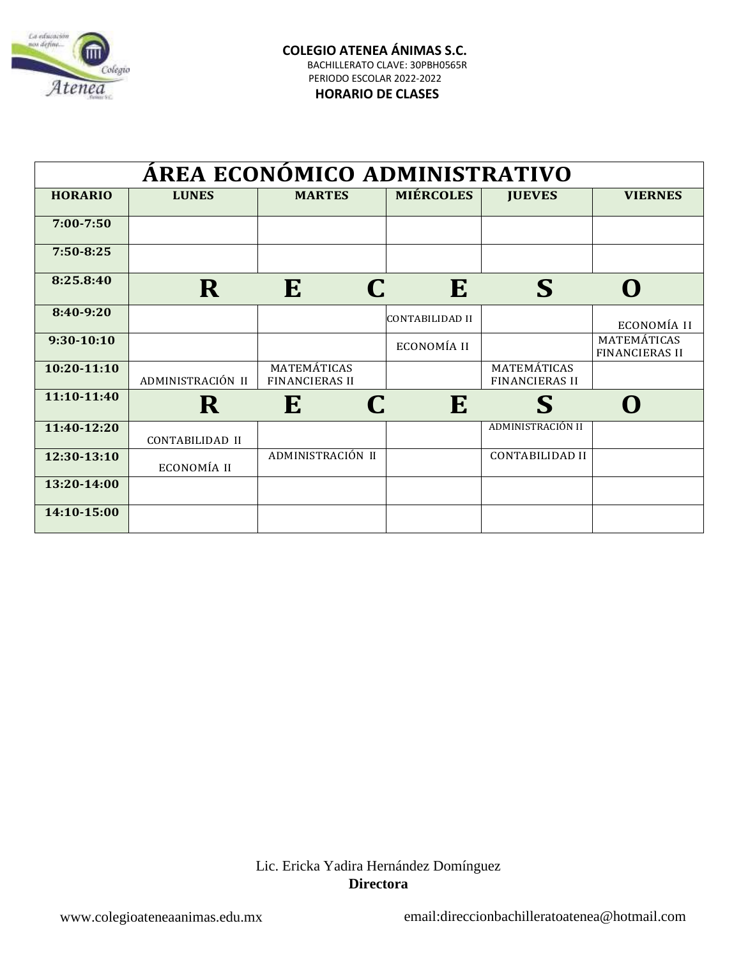

### **HORARIO DE CLASES**

| ÁREA ECONÓMICO ADMINISTRATIVO |                   |                                      |                  |                                      |                                      |  |  |
|-------------------------------|-------------------|--------------------------------------|------------------|--------------------------------------|--------------------------------------|--|--|
| <b>HORARIO</b>                | <b>LUNES</b>      | <b>MARTES</b>                        | <b>MIÉRCOLES</b> | <b>JUEVES</b>                        | <b>VIERNES</b>                       |  |  |
| $7:00 - 7:50$                 |                   |                                      |                  |                                      |                                      |  |  |
| $7:50 - 8:25$                 |                   |                                      |                  |                                      |                                      |  |  |
| 8:25.8:40                     | R                 | E                                    | E                | S                                    | O                                    |  |  |
| 8:40-9:20                     |                   |                                      | CONTABILIDAD II  |                                      | ECONOMÍA II                          |  |  |
| $9:30-10:10$                  |                   |                                      | ECONOMÍA II      |                                      | MATEMÁTICAS<br><b>FINANCIERAS II</b> |  |  |
| 10:20-11:10                   | ADMINISTRACIÓN II | MATEMÁTICAS<br><b>FINANCIERAS II</b> |                  | MATEMÁTICAS<br><b>FINANCIERAS II</b> |                                      |  |  |
| 11:10-11:40                   | R                 | E<br>C                               | E                | S                                    |                                      |  |  |
| 11:40-12:20                   | CONTABILIDAD II   |                                      |                  | ADMINISTRACIÓN II                    |                                      |  |  |
| 12:30-13:10                   | ECONOMÍA II       | ADMINISTRACIÓN II                    |                  | <b>CONTABILIDAD II</b>               |                                      |  |  |
| 13:20-14:00                   |                   |                                      |                  |                                      |                                      |  |  |
| 14:10-15:00                   |                   |                                      |                  |                                      |                                      |  |  |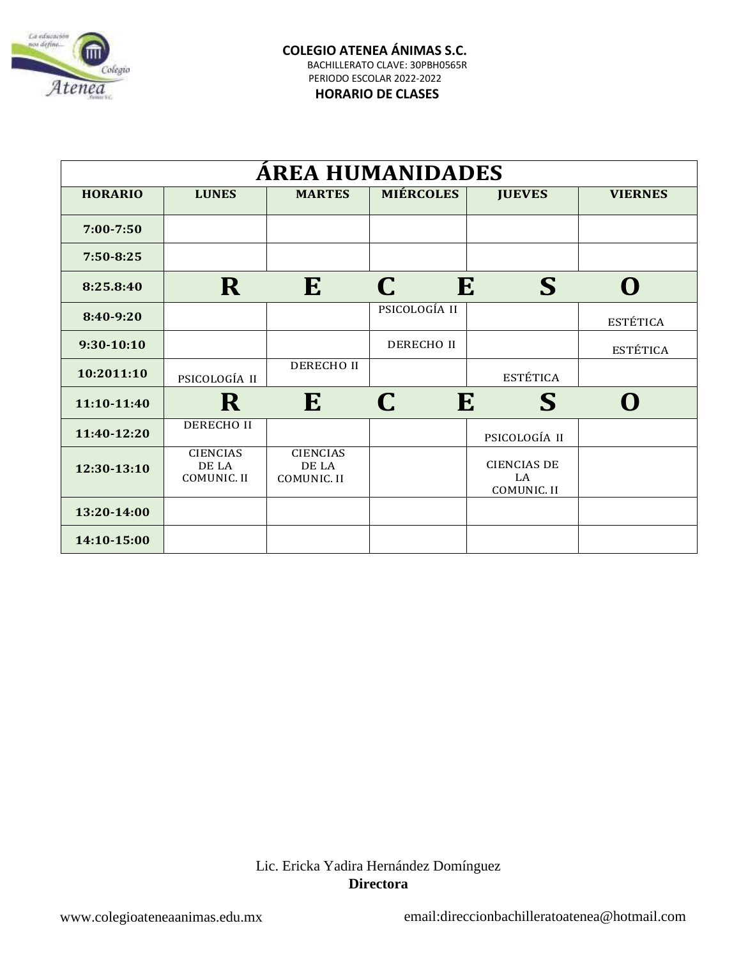

### **HORARIO DE CLASES**

| <b>AREA HUMANIDADES</b> |                                         |                                         |                   |                                         |                  |  |
|-------------------------|-----------------------------------------|-----------------------------------------|-------------------|-----------------------------------------|------------------|--|
| <b>HORARIO</b>          | <b>LUNES</b>                            | <b>MARTES</b>                           | <b>MIÉRCOLES</b>  | <b>JUEVES</b>                           | <b>VIERNES</b>   |  |
| $7:00 - 7:50$           |                                         |                                         |                   |                                         |                  |  |
| $7:50 - 8:25$           |                                         |                                         |                   |                                         |                  |  |
| 8:25.8:40               | $\mathbf R$                             | E                                       | E<br>C            | S                                       | $\mathbf \Omega$ |  |
| 8:40-9:20               |                                         |                                         | PSICOLOGÍA II     |                                         | <b>ESTÉTICA</b>  |  |
| $9:30-10:10$            |                                         |                                         | <b>DERECHO II</b> |                                         | <b>ESTÉTICA</b>  |  |
| 10:2011:10              | PSICOLOGÍA II                           | <b>DERECHO II</b>                       |                   | <b>ESTÉTICA</b>                         |                  |  |
| 11:10-11:40             | R                                       | E                                       | C.<br>E           | S                                       | $\Omega$         |  |
| 11:40-12:20             | DERECHO II                              |                                         |                   | PSICOLOGÍA II                           |                  |  |
| 12:30-13:10             | <b>CIENCIAS</b><br>DE LA<br>COMUNIC. II | <b>CIENCIAS</b><br>DE LA<br>COMUNIC. II |                   | <b>CIENCIAS DE</b><br>LA<br>COMUNIC. II |                  |  |
| 13:20-14:00             |                                         |                                         |                   |                                         |                  |  |
| 14:10-15:00             |                                         |                                         |                   |                                         |                  |  |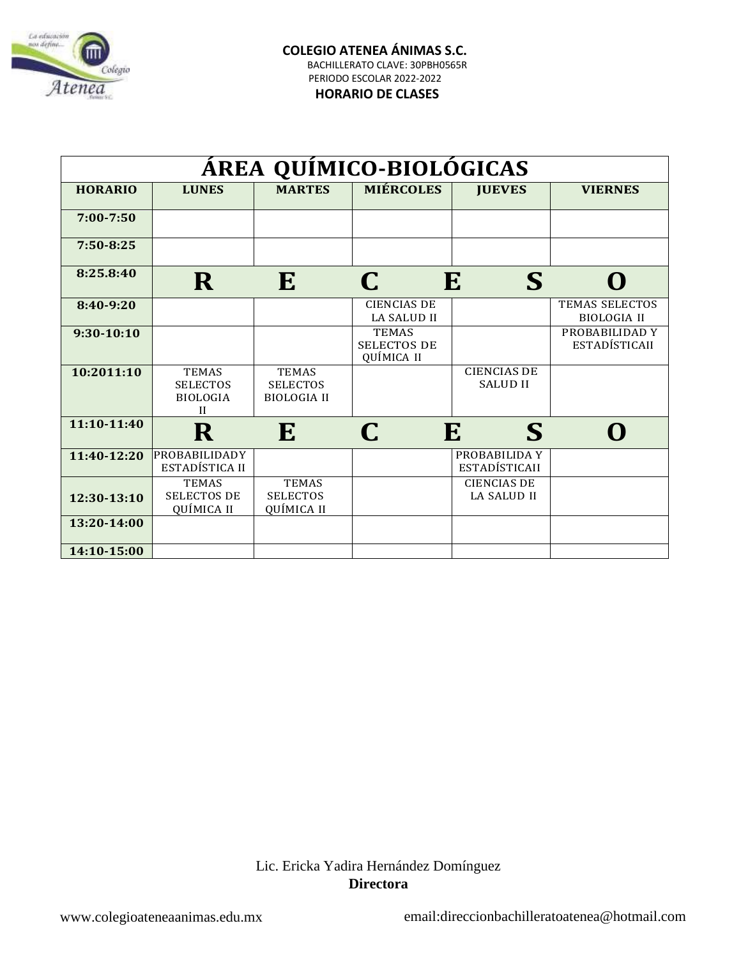

#### **HORARIO DE CLASES**

| ÁREA QUÍMICO-BIOLÓGICAS |                                                                    |                                                       |                                                  |                                          |                                             |  |  |
|-------------------------|--------------------------------------------------------------------|-------------------------------------------------------|--------------------------------------------------|------------------------------------------|---------------------------------------------|--|--|
| <b>HORARIO</b>          | <b>LUNES</b>                                                       | <b>MARTES</b>                                         | <b>MIÉRCOLES</b>                                 | <b>JUEVES</b>                            | <b>VIERNES</b>                              |  |  |
| $7:00 - 7:50$           |                                                                    |                                                       |                                                  |                                          |                                             |  |  |
| $7:50 - 8:25$           |                                                                    |                                                       |                                                  |                                          |                                             |  |  |
| 8:25.8:40               | R                                                                  | E                                                     | C                                                | E<br>S                                   | $\mathbf 0$                                 |  |  |
| 8:40-9:20               |                                                                    |                                                       | <b>CIENCIAS DE</b><br><b>LA SALUD II</b>         |                                          | <b>TEMAS SELECTOS</b><br><b>BIOLOGIA II</b> |  |  |
| 9:30-10:10              |                                                                    |                                                       | <b>TEMAS</b><br><b>SELECTOS DE</b><br>QUÍMICA II |                                          | PROBABILIDAD Y<br>ESTADÍSTICAII             |  |  |
| 10:2011:10              | <b>TEMAS</b><br><b>SELECTOS</b><br><b>BIOLOGIA</b><br>$\mathbf{H}$ | <b>TEMAS</b><br><b>SELECTOS</b><br><b>BIOLOGIA II</b> |                                                  | <b>CIENCIAS DE</b><br><b>SALUD II</b>    |                                             |  |  |
| 11:10-11:40             | ${\bf R}$                                                          | E                                                     | $\mathsf{\Gamma}$                                | E<br>S                                   | O                                           |  |  |
| 11:40-12:20             | PROBABILIDADY<br>ESTADÍSTICA II                                    |                                                       |                                                  | PROBABILIDA Y<br><b>ESTADÍSTICAII</b>    |                                             |  |  |
| 12:30-13:10             | <b>TEMAS</b><br><b>SELECTOS DE</b><br>QUÍMICA II                   | <b>TEMAS</b><br><b>SELECTOS</b><br>QUÍMICA II         |                                                  | <b>CIENCIAS DE</b><br><b>LA SALUD II</b> |                                             |  |  |
| 13:20-14:00             |                                                                    |                                                       |                                                  |                                          |                                             |  |  |
| 14:10-15:00             |                                                                    |                                                       |                                                  |                                          |                                             |  |  |